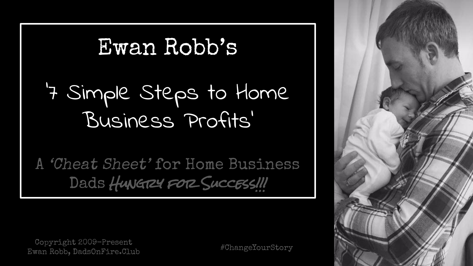### Ewan Robb's

### '7 Simple Steps to Home Business Profits'

A 'Cheat Sheet' for Home Business Dads Hungrey FOR SuccEss!

Copyright 2009-Present Ewan Robb, DadsOnFire.Club #ChangeYourStory

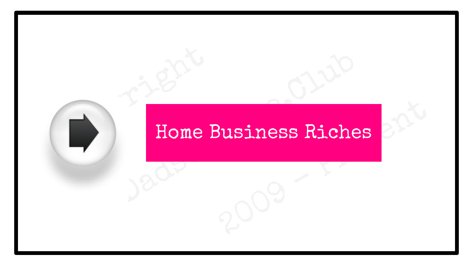# Copyright Copyright Copyright Copyright Copyright Copyright Copyright Copyright Copyright Copyright Copyright Copyright Copyright Copyright Copyright Copyright Copyright Copyright Copyright Copyright Copyright Copyright Co 2009 - Presential Presential Presential Presential Presentation of the Second Presential Presentation of the Second Presential Presential Presentation of the Second Presential Presentation of the Second Presentation of the Dad Richer (1986) Home Business Riches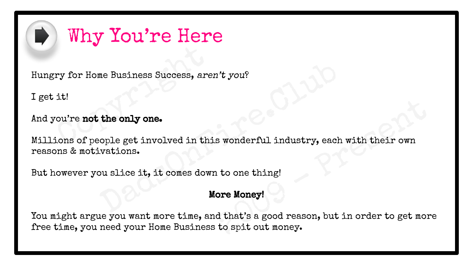

#### Why You're Here

ry for Home Business Success, are:<br>it!<br>ou're **not the only one.**<br>ions of people get involved in thi Hungry for Home Business Success, aren't you?

I get it!

And you're not the only one.

me Business Success, aren't you?<br>
the only one.<br>
cople get involved in this wonderful industry, each vations.<br>
Du slice it, it comes down to one thing!<br>
More Money! Millions of people get involved in this wonderful industry, each with their own reasons & motivations.

But however you slice it, it comes down to one thing!

#### More Money!

Example The Universe and With their own<br>
2009 - Presenting to one thing!<br>
2009 - Presenting that's a good reason, but in order to get more<br>
to spit out money. You might argue you want more time, and that's a good reason, but in order to get more free time, you need your Home Business to spit out money.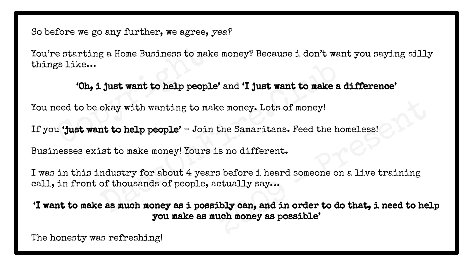So before we go any further, we agree, yea?

e starting a Home Business to mak<br>
5 like...<br> **Compare 1 just want to help people**<br>
ced to be okay with wanting to mak<br>
compared to help people' - Join You're starting a Home Business to make money? Because i don't want you saying silly things like…

#### 'Oh, i just want to help people' and 'I just want to make a difference'

You need to be okay with wanting to make money. Lots of money!

If you 'just want to help people' - Join the Samaritans. Feed the homeless!

Businesses exist to make money! Yours is no different.

Light want to help people' and 'I just want to make a dokay with wanting to make money. Lots of money!<br>
Int to help people' - Join the Samaritans. Feed the horist to make money! Yours is no different.<br>
Industry for about 4 I was in this industry for about 4 years before i heard someone on a live training call, in front of thousands of people, actually say…

Example 1<br>
The Samaritans. Feed the homeless!<br>
2009 - Samaritans. Feed the homeless!<br>
2009 - Shefore i heard someone on a live training<br>
2019 - Cually say...<br>
2019 - Shefore i heard someone on a live training<br>
2019 - Shefo 'I want to make as much money as i possibly can, and in order to do that, i need to help you make as much money as possible'

The honesty was refreshing!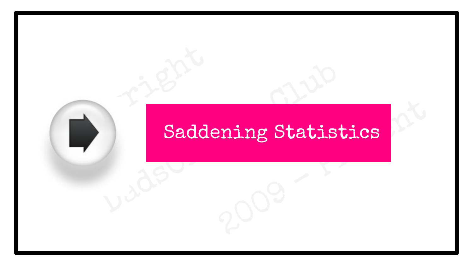# Copyright Sadde ening Statistics Baddening Statist **Saddening Statistics**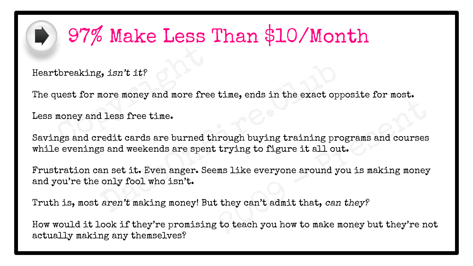

### $\implies$  97% Make Less Than \$10/Month

Heartbreaking, isn't it?

The quest for more money and more free time, ends in the exact opposite for most.

Less money and less free time.

tbreaking, isn't it?<br>
uest for more money and more free<br>
money and less free time.<br>
ngs and credit cards are burned the Example the creator opposite for most<br>rough buying training programs and courses<br>trying to figure it all out.<br>ms like everyone around you is making money<br>it they can't admit that, can they?<br>to teach you how to make money b Example 15 and the exact opponent of the state of the exact opponent and more free time.<br>
The same of the exact opponent and the exact opponent of the state of the redit cards are burned through buying training progs and w Savings and credit cards are burned through buying training programs and courses while evenings and weekends are spent trying to figure it all out.

Frustration can set it. Even anger. Seems like everyone around you is making money and you're the only fool who isn't.

Truth is, most aren't making money! But they can't admit that, can they?

How would it look if they're promising to teach you how to make money but they're not actually making any themselves?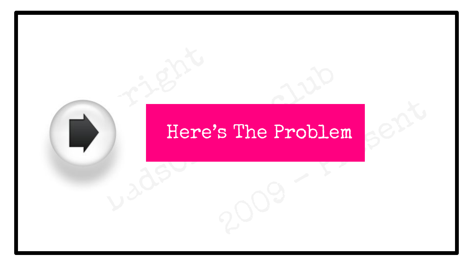# Copyright Street s The Problem  $e^{e^{\lambda t}}$ Date: The Problem Here's The Problem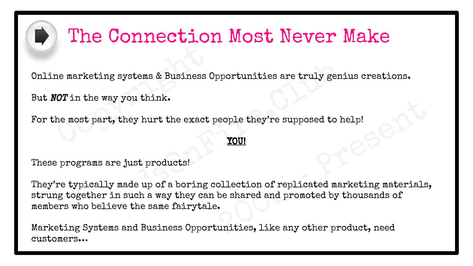

#### The Connection Most Never Make

ne marketing systems & Business O<br>
COT in the way you think.<br>
the most part, they hurt the exact you Online marketing systems & Business Opportunities are truly genius creations.

But NOT in the way you think.

For the most part, they hurt the exact people they're supposed to help!

#### YOU!

These programs are just products!

eople they're supposed to help!<br>
YOU!<br>
Ollection of replicated marketing materials,<br>
be shared and promoted by thousands of<br>
.<br>
unities, like any other product, need ing systems & Business Opportunities are truly geni<br>way you think.<br>art, they hurt the exact people they're supposed to he<br>**YOU!**<br>s are just products!<br>Ily made up of a boring collection of replicated mar<br>er in such a way th They're typically made up of a boring collection of replicated marketing materials, strung together in such a way they can be shared and promoted by thousands of members who believe the same fairytale.

Marketing Systems and Business Opportunities, like any other product, need customers…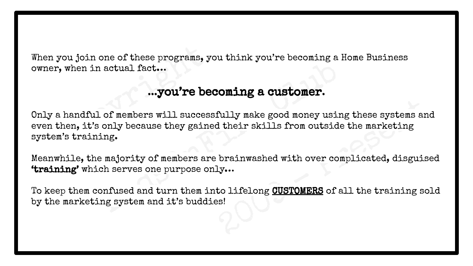When you join one of these programs, you think you're becoming a Home Business owner, when in actual fact…

#### ...you're becoming a customer.

you join one of these programs, you, when in actual fact...<br>
...you're been, it's only because they gaine<br>
...you're been, it's only because they gaine<br>
...wistraining. fully make good money using these systems and<br>d their skills from outside the marketing<br>brainwashed with over complicated, disguised<br>ly...<br>to lifelong CUSTOMERS of all the training soles! one of sheet programs, you whink you're becoming a network and actual fact...<br>
...you're becoming a customer.<br>
...of members will successfully make good money using<br>
only because they gained their skills from outside<br>
ing. Only a handful of members will successfully make good money using these systems and even then, it's only because they gained their skills from outside the marketing system's training.

Meanwhile, the majority of members are brainwashed with over complicated, disguised 'training' which serves one purpose only…

To keep them confused and turn them into lifelong CUSTOMERS of all the training sold by the marketing system and it's buddies!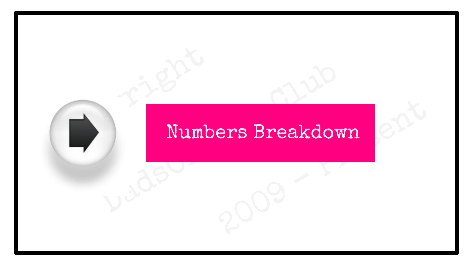# Copyright Street ers Breakdown Numbers Breakdow Numbers Breakdown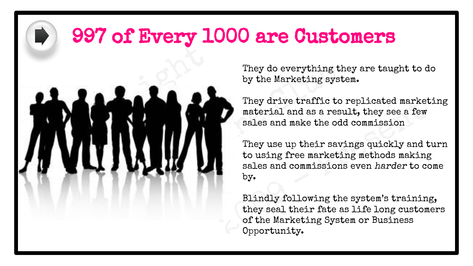#### 997 of Every 1000 are Customers



They do everything they are taught to do by the Marketing system.

They drive traffic to replicated marketing material and as a result, they see a few sales and make the odd commission

They drive traffic to replicated marketi<br>
material and as a result, they see a few<br>
sales and make the odd commission<br>
They use up their savings quickly and tu<br>
to using free marketing methods making<br>
sales and commissions They use up their savings quickly and turn to using free marketing methods making sales and commissions even harder to come by.

Blindly following the system's training, they seal their fate as life long customers of the Marketing System or Business Opportunity.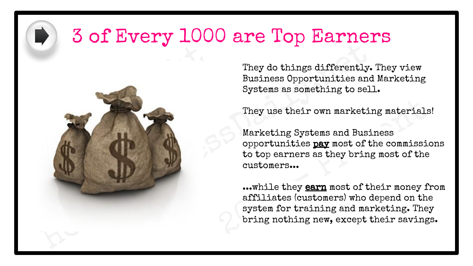#### 3 of Every 1000 are Top Earners



They do things differently. They view Business Opportunities and Marketing Systems as something to sell.

They use their own marketing materials!

They use their own marketing materials!<br>Marketing Systems and Business<br>opportunities **pay** most of the commission<br>to top earners as they bring most of the<br>customers...<br>...while they <u>earn</u> most of their money fro<br>affiliate Marketing Systems and Business opportunities pay most of the commissions to top earners as they bring most of the customers...

...while they earn most of their money from affiliates (customers) who depend on the system for training and marketing. They bring nothing new, except their savings.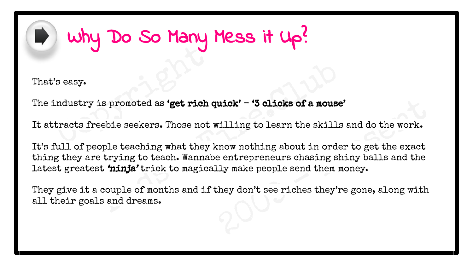### Why Do So Many Mess it Up?

That's easy.

Seasy.<br>
Industry is promoted as 'get rich of<br>
tracts freebie seekers. Those not The industry is promoted as 'get rich quick'  $-$  '3 clicks of a mouse'

It attracts freebie seekers. Those not willing to learn the skills and do the work.

uick' - '3 clicks of a mouse'<br>villing to learn the skills and do the work.<br>cnow nothing about in order to get the exact<br>e entrepreneurs chasing shiny balls and the<br>lly make people send them money.<br>they don't see riches the is promoted as 'get rich quick' - '3 clicks of a mouse'<br>eebie seekers. Those not willing to learn the skills :<br>ople teaching what they know nothing about in order<br>etrying to teach. Wannabe entrepreneurs chasing shi<br>t 'ninj It's full of people teaching what they know nothing about in order to get the exact thing they are trying to teach. Wannabe entrepreneurs chasing shiny balls and the latest greatest 'ninja' trick to magically make people send them money.

They give it a couple of months and if they don't see riches they're gone, along with all their goals and dreams.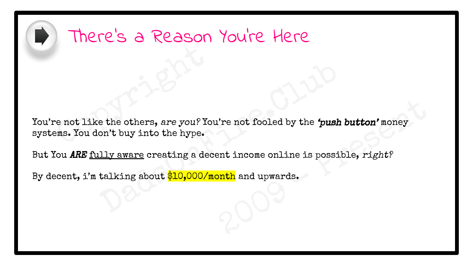

#### There's a Reason You're Here

e not like the others, are you? You<br>cans. You don't buy into the hype. Where the two state of the transmutation of the transmutation of the transmutation of the state of the state of the state of the state of the state of the state of the state of the state of the state of the state of the st e the others, are you? You're not fooled by the 'push bon't buy into the hype.<br>Dads on the hype.<br>Dads on the hype.<br>Dads of  $\frac{10,000}{\text{month}}$  and upwards. You're not like the others, are you? You're not fooled by the 'push button' money systems. You don't buy into the hype.

But You ARE fully aware creating a decent income online is possible, right?

By decent, i'm talking about \$10,000/month and upwards.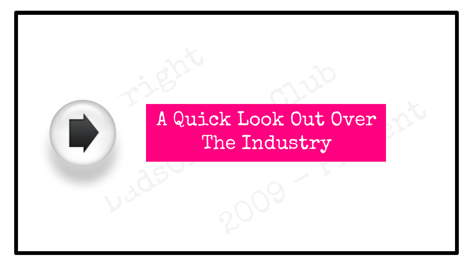### Company Company Company Company Company Company Company Company Company Company Company Company Company Company<br>Company Company Company Company Company Company Company Company Company Company Company Company Company Compan Ex Look Out Over **A Quick Look Out Over the Industry.**  $\mathbf{m}$  and  $\mathbf{r}$  is a subset of  $\mathbf{r}$ A Quick Look Out Over The Industry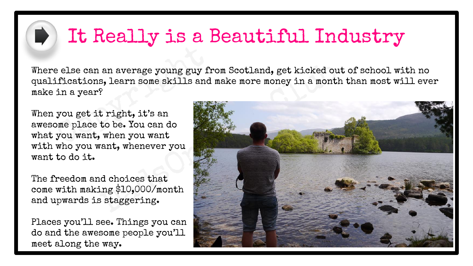#### It Really is a Beautiful Industry

e else can an average young guy fr<br>ifications, learn some skills and<br>in a year?<br>you get it right, it's an<br>ome place to be. You can do<br>you want, when you want Where else can an average young guy from Scotland, get kicked out of school with no qualifications, learn some skills and make more money in a month than most will ever make in a year?

When you get it right, it's an awesome place to be. You can do what you want, when you want with who you want, whenever you want to do it.

The freedom and choices that come with making \$10,000/month and upwards is staggering.

Places you'll see. Things you can do and the awesome people you'll meet along the way.

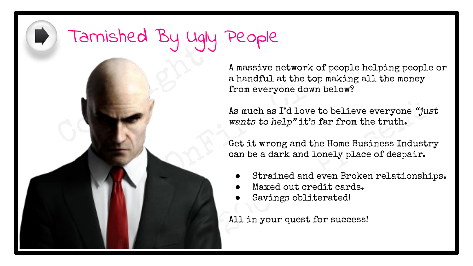# Copyright Copyright Tarnished By Ugly People

A massive network of peop<br>
a handful at the top makin<br>
from everyone down below<br>
As much as I'd love to belit<br>
wants to help" it's far free<br>
Get it wrong and the Home<br>
can be a dark and lonely p<br>
Strained and even B<br>
Maxed A massive network of people helping people or a handful at the top making all the money from everyone down below?

As much as I'd love to believe everyone "just<br>wants to help" it's far from the truth.<br>Get it wrong and the Home Business Industry<br>can be a dark and lonely place of despair.<br>• Strained and even Broken relationship<br>• Maxed o As much as I'd love to believe everyone "just wants to help" it's far from the truth.

Get it wrong and the Home Business Industry can be a dark and lonely place of despair.

- Strained and even Broken relationships.
- Maxed out credit cards.
- Savings obliterated!

All in your quest for success!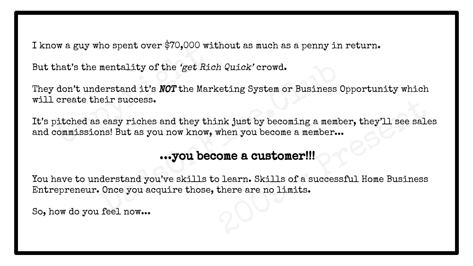I know a guy who spent over \$70,000 without as much as a penny in return.

But that's the mentality of the 'get Rich Quick' crowd.

They don't understand it's **NOT** the Marketing System or Business Opportunity which will create their success.

we a guy who spent over \$70,000 with<br>that's the mentality of the 'get Riddon't understand it's **NOT** the Mark<br>create their success.<br>bitched as easy riches and they the<br>commissions! But as you now know, nk just by becoming a member, they'll see sales<br>when you become a member...<br>One a customer!!!<br>Dearn. Skills of a successful Home Business<br>there are no limits. mentality of the 'get Rich Quick' crowd.<br>
lerstand it's **NOT** the Marketing System or Business Opeir success.<br>
Seasy riches and they think just by becoming a member<br>
Is easy riches and they think just by becoming a member. It's pitched as easy riches and they think just by becoming a member, they'll see sales and commissions! But as you now know, when you become a member...

#### ...you become a customer!!!

You have to understand you've skills to learn. Skills of a successful Home Business Entrepreneur. Once you acquire those, there are no limits.

So, how do you feel now...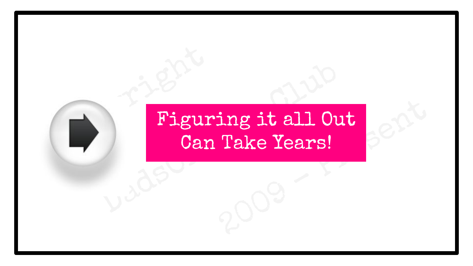### Copyright (Copyright) ing it all Out<br>Take Years! Figuring it all Our Can Take Years!  $\sim$  Homes Richard Richard Richard Richard Richard Richard Richard Richard Richard Richard Richard Richard Richard Richard Richard Richard Richard Richard Richard Richard Richard Richard Richard Richard Richard Richard Ri Figuring it all Out Can Take Years!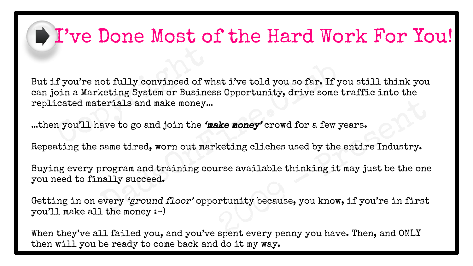#### I've Done Most of the Hard Work For You!

f you're not fully convinced of which a Marketing System or Busines<br>cated materials and make money...<br>n you'll have to go and join the 'me not fully convinced of what i've told you so far. If yo<br>keting System or Business Opportunity, drive some therials and make money...<br>ave to go and join the **'make money'** crowd for a few ye<br>same tired, worn out marketing c But if you're not fully convinced of what i've told you so far. If you still think you can join a Marketing System or Business Opportunity, drive some traffic into the replicated materials and make money...

...then you'll have to go and join the **'make money'** crowd for a few years.

Repeating the same tired, worn out marketing cliches used by the entire Industry.

Buying every program and training course available thinking it may just be the one you need to finally succeed.

When we money' crowd for a few years.<br>
Keting cliches used by the entire Industry.<br>
Insea, we available thinking it may just be the one<br>
primity because, you know, if you're in first<br>
spent every penny you have. Then, and Getting in on every 'ground floor' opportunity because, you know, if you're in first you'll make all the money :-)

When they've all failed you, and you've spent every penny you have. Then, and ONLY then will you be ready to come back and do it my way.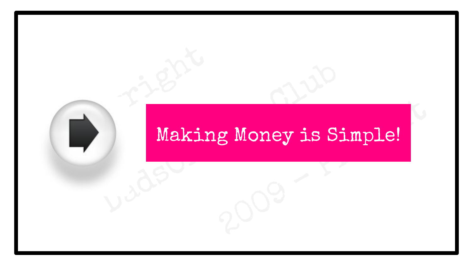# Copyright Copyright<br>Copyright Copyright Copyright Copyright<br>Copyright Copyright Copyright Copyright Copyright Copyright Copyright<br>Copyright Copyright Copyright Copyright Copyright Copyright Copyright Copyright Copyright Co g Money is Simple! Making Money is Si Making Money is Simple!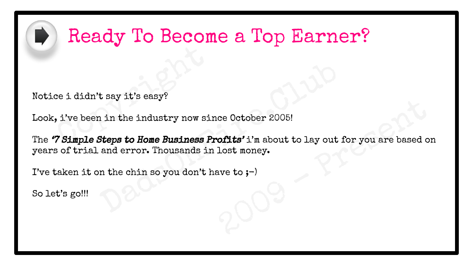

#### Ready To Become a Top Earner?

Notice i didn't say it's easy?

Look, i've been in the industry now since October 2005!

e i didn't say it's easy?<br>
, i've been in the industry now sin<br>
7 Simple Steps to Home Business P ce October 2005!<br> **ofits'** i'm about to lay out for you are based on<br>
lost money.<br>
ave to ;-) t say it's easy?<br>
1 in the industry now since October 2005!<br>
Steps to Home Business Profits'i'm about to lay out for<br>
and error. Thousands in lost money.<br>
In the chin so you don't have to ;-) The "7 Simple Steps to Home Business Profits' i'm about to lay out for you are based on years of trial and error. Thousands in lost money.

I've taken it on the chin so you don't have to  $;-$ 

So let's go!!!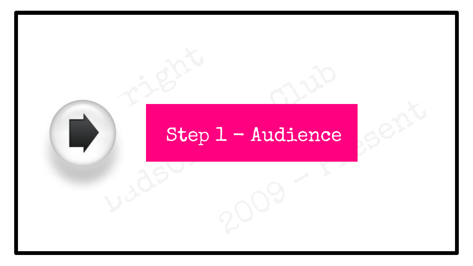# Copyright Step 1 - Audience Serit Brue Rep 1 - Audience Step 1 - Audience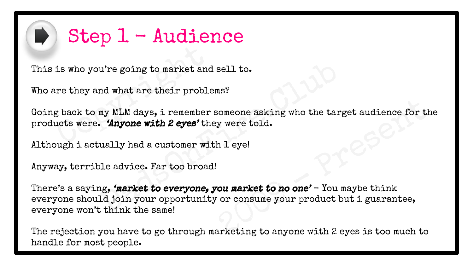

#### Step 1 - Audience

This is who you're going to market and sell to.

Who are they and what are their problems?

is who you're going to market and<br>tre they and what are their proble<br>g back to my MLM days, i remember<br>ucts were. 'Anyone with 2 eyes' the Going back to my MLM days, i remember someone asking who the target audience for the products were. 'Anyone with 2 eyes' they were told.

Although i actually had a customer with 1 eye!

Anyway, terrible advice. Far too broad!

someone asking who the target audience for the<br>y were told.<br>h 1 eye!<br>counter to no one' - You maybe think<br>or consume your product but i guarantee,<br>arketing to anyone with 2 eyes is too much to u're going to market and sell to.<br>
And what are their problems?<br>
May MLM days, i remember someone asking who the targ<br> **Anyone with 2 eyes'** they were told.<br>
Unally had a customer with 1 eye!<br>
Deleadvice. Far too broad!<br>
H There's a saying, 'market to everyone, you market to no one'  $-$  You maybe think everyone should join your opportunity or consume your product but i guarantee, everyone won't think the same!

The rejection you have to go through marketing to anyone with 2 eyes is too much to handle for most people.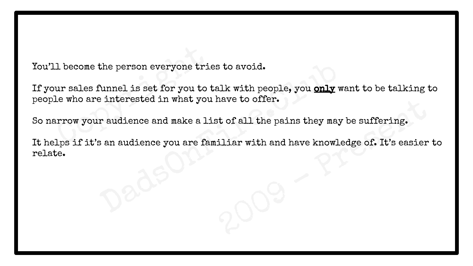You'll become the person everyone tries to avoid.

1 become the person everyone trie<br>ur sales funnel is set for you to t<br>le who are interested in what you<br>urrow your audience and make a li<br>lps if it's an audience you are fam If your sales funnel is set for you to talk with people, you only want to be talking to people who are interested in what you have to offer.

So narrow your audience and make a list of all the pains they may be suffering.

have to offer.<br>Et of all the pains they may be suffering.<br>iliar with and have knowledge of. It's easier to the person everyone tries to avoid.<br>
Nunnel is set for you to talk with people, you only we<br>
interested in what you have to offer.<br>
r audience and make a list of all the pains they may b<br>
s an audience you are familiar wit It helps if it's an audience you are familiar with and have knowledge of. It's easier to relate.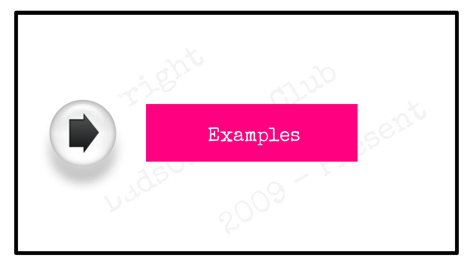# Copyright , 2009 - President Dads Bxamples Examples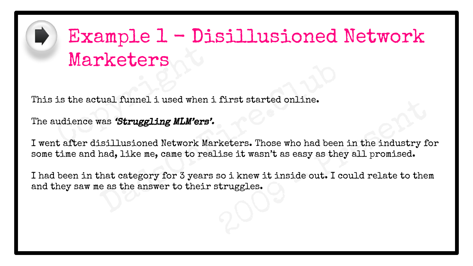

### Marketers<br>
is the actual funnel i used when if<br>
udience was 'Struggling MLM'ers'.<br>
t after disillusioned Network Ma Example 1 - Disillusioned Network Marketers

This is the actual funnel i used when i first started online.

The audience was 'Struggling MLM'ers'.

2009 - Present **EXECUTE:**<br>
Under the same of the started online.<br>
We say the started online.<br>
Under the started online.<br>
Under the started online.<br>
Under the started online in the start of the start of the start of the start<br>
Computer of I went after disillusioned Network Marketers. Those who had been in the industry for some time and had, like me, came to realise it wasn't as easy as they all promised.

I had been in that category for 3 years so i knew it inside out. I could relate to them and they saw me as the answer to their struggles.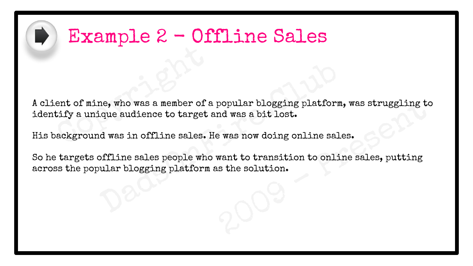

#### Example 2 - Offline Sales

ent of mine, who was a member of a<br>tify a unique audience to target a<br>ackground was in offline sales. H popular blogging platform, was struggling to<br>nd was a bit lost.<br>e was now doing online sales.<br>want to transition to online sales, putting<br>as the solution. A client of mine, who was a member of a popular blogging platform, was struggling to identify a unique audience to target and was a bit lost.

His background was in offline sales. He was now doing online sales.

ne, who was a member of a popular blogging platform,<br>ique audience to target and was a bit lost.<br>d was in offline sales. He was now doing online sales<br>offline sales people who want to transition to online<br>ular blogging pla So he targets offline sales people who want to transition to online sales, putting across the popular blogging platform as the solution.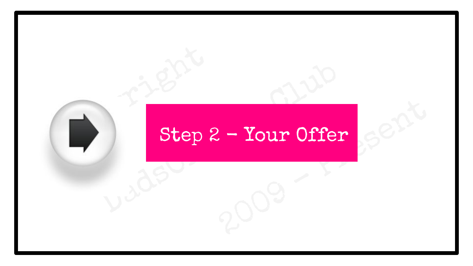# Copyright<br>Copyright<br>Copyright Step?  $2 - Your offer   $8e^{21}$$ Branch Step 2 - Your Offer Step 2 - Your Offer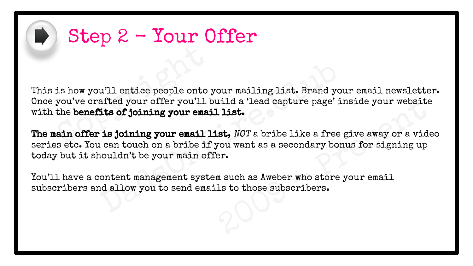

#### Step 2 - Your Offer

is how you'll entice people onto you've crafted your offer you'll b<br>the benefits of joining your emaintain offer is joining your email like of a local state of the state of the state of  $\mathbb{R}^n$ This is how you'll entice people onto your mailing list. Brand your email newsletter. Once you've crafted your offer you'll build a 'lead capture page' inside your website with the benefits of joining your email list.

uild a 'lead capture page' inside your website<br> **1 list.**<br> **2009** - **2009** - **2009** - **2009** - **2009** - **2009** - **2009** - **2009** - **2009** - **2009** - **2009** - **2009** - **2009** - **2009** - **2009** - **2009** - **2009** - **2009** u'll entice people onto your mailing list. Brand you<br>afted your offer you'll build a 'lead capture page' in<br>**its of joining your email list.**<br>**is joining your email list,**  $NOT$  a bribe like a free g<br>i can touch on a bribe i The main offer is joining your email list, NOT a bribe like a free give away or a video series etc. You can touch on a bribe if you want as a secondary bonus for signing up today but it shouldn't be your main offer.

You'll have a content management system such as Aweber who store your email subscribers and allow you to send emails to those subscribers.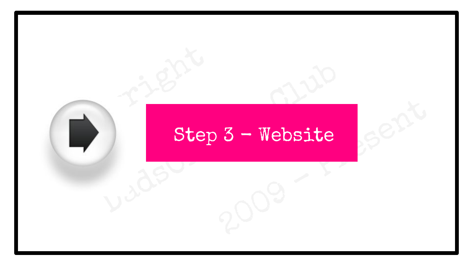# Copyright Step  $2009$ Dads Step 3 - Website Step 3 - Website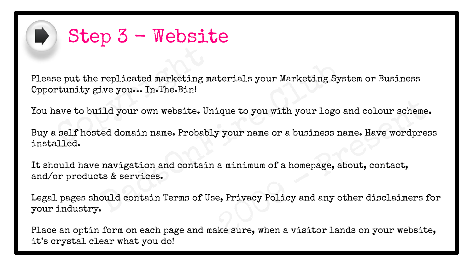

#### Step 3 - Website

e put the replicated marketing matunity give you... In.The.Bin!<br>ave to build your own website. Un<br>self hosted domain name. Probabl Please put the replicated marketing materials your Marketing System or Business Opportunity give you… In.The.Bin!

You have to build your own website. Unique to you with your logo and colour scheme.

ique to you with your logo and colour scheme.<br>
Y your name or a business name. Have wordpress<br>
a minimum of a homepage, about, contact,<br>
e, Privacy Policy and any other disclaimers for<br>
ke sure, when a visitor lands on you replicated marketing materials your Marketing Syst<br>ive you... In.The.Bin!<br>ild your own website. Unique to you with your logo a<br>ced domain name. Probably your name or a business na<br>navigation and contain a minimum of a home Buy a self hosted domain name. Probably your name or a business name. Have wordpress installed.

It should have navigation and contain a minimum of a homepage, about, contact, and/or products & services.

Legal pages should contain Terms of Use, Privacy Policy and any other disclaimers for your industry.

Place an optin form on each page and make sure, when a visitor lands on your website, it's crystal clear what you do!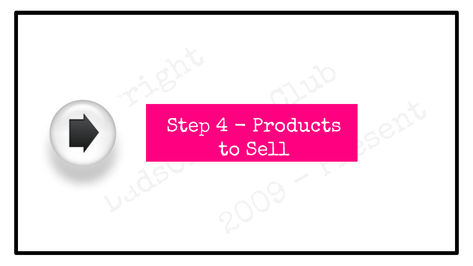### Copyright Step 4 - Products<br>to Sell<br>2009 Step 4 - Products<br>to Sell<br>V<sup>306</sup> Step 4 - Products to Sell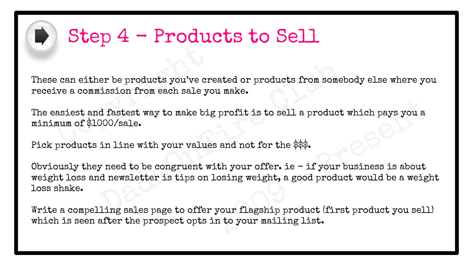

#### Step 4 - Products to Sell

These can either be products you've created or products from somebody else where you receive a commission from each sale you make.

e can either be products you've create a commission from each sale you've a commission from each sale you<br>asiest and fastest way to make big<br>mum of \$1000/sale. The easiest and fastest way to make big profit is to sell a product which pays you a minimum of \$1000/sale.

Pick products in line with your values and not for the \$\$\$.

profit is to sell a product which pays you a<br>and not for the \$\$\$.<br>th your offer. ie - if your business is about<br>osing weight, a good product would be a weight<br>your flagship product (first product you sell)<br>n to your mailin er be products you've created or products from someb<br>ission from each sale you make.<br>d fastest way to make big profit is to sell a product<br>000/sale.<br>in line with your values and not for the \$\$\$.<br>y need to be congruent wit Obviously they need to be congruent with your offer. ie  $-$  if your business is about weight loss and newsletter is tips on losing weight, a good product would be a weight loss shake.

Write a compelling sales page to offer your flagship product (first product you sell) which is seen after the prospect opts in to your mailing list.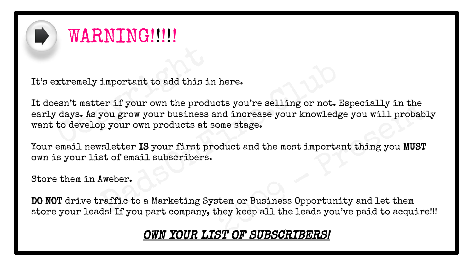

#### WARNING!!!!!

It's extremely important to add this in here.

xtremely important to add this in<br>esn't matter if your own the production<br>days. As you grow your business at to develop your own products at s cts you're selling or not. Especially in the<br>nd increase your knowledge you will probably<br>ome stage.<br>bduct and the most important thing you MUST<br>stem or Business Opportunity and let them<br>hey keep all the leads you've paid important to add this in here.<br>
er if your own the products you're selling or not. Es<br>
you grow your business and increase your knowledge<br>
p your own products at some stage.<br>
seletter IS your first product and the most imp It doesn't matter if your own the products you're selling or not. Especially in the early days. As you grow your business and increase your knowledge you will probably want to develop your own products at some stage.

Your email newsletter IS your first product and the most important thing you MUST own is your list of email subscribers.

Store them in Aweber.

DO NOT drive traffic to a Marketing System or Business Opportunity and let them store your leads! If you part company, they keep all the leads you've paid to acquire!!!

#### OWN YOUR LIST OF SUBSCRIBERS!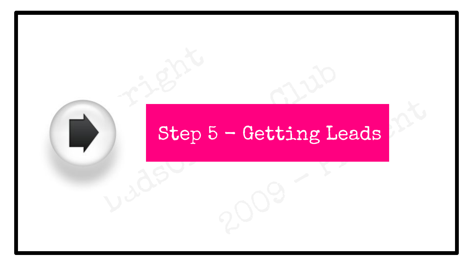# Copyright<br>Copyright Step & - Getting Leads Branch Step 5 - Getting Le Step 5 - Getting Leads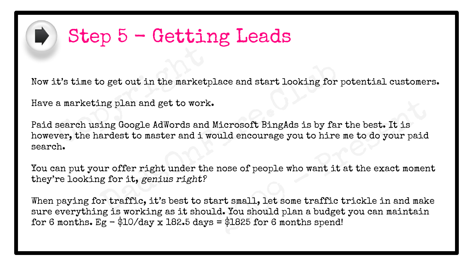

### Step 5 - Getting Leads

Now it's time to get out in the marketplace and start looking for potential customers.

Have a marketing plan and get to work.

t's time to get out in the marketp.<br>a marketing plan and get to work.<br>search using Google AdWords and l<br>ver, the hardest to master and i wo o get out in the marketplace and start looking for poor and get to work.<br>Ing Google AdWords and Microsoft BingAds is by far t<br>ardest to master and i would encourage you to hire m<br>ur offer right under the nose of people who Paid search using Google AdWords and Microsoft BingAds is by far the best. It is however, the hardest to master and i would encourage you to hire me to do your paid search.

You can put your offer right under the nose of people who want it at the exact moment they're looking for it, genius right?

1<br>1<br>icrosoft BingAds is by far the best. It is<br>uld encourage you to hire me to do your paid<br>nose of people who want it at the exact moment<br>art small, let some traffic trickle in and make<br>d. You should plan a budget you can When paying for traffic, it's best to start small, let some traffic trickle in and make sure everything is working as it should. You should plan a budget you can maintain for 6 months.  $Eg - $10/day \times 182.5 \text{ days} = $1825 \text{ for } 6 \text{ months spend}!$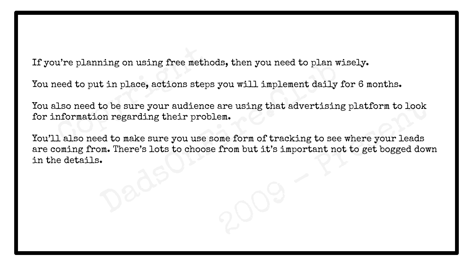If you're planning on using free methods, then you need to plan wisely.

You need to put in place, actions steps you will implement daily for 6 months.

u're planning on using free metho<br>heed to put in place, actions steps<br>lso need to be sure your audience<br>nformation regarding their probi<br>l also need to make sure you use s You also need to be sure your audience are using that advertising platform to look for information regarding their problem.

are using that advertising platform to look<br>em.<br>Dome form of tracking to see where your leads<br>from but it's important not to get bogged down ning on using free methods, then you need to plan wist<br>
i in place, actions steps you will implement daily for<br>
to be sure your audience are using that advertising<br>
on regarding their problem.<br>
Ed to make sure you use some You'll also need to make sure you use some form of tracking to see where your leads are coming from. There's lots to choose from but it's important not to get bogged down in the details.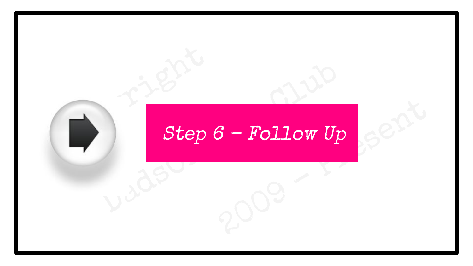# Copyright Step  $3 - \text{Follow Up}$ Step 6 - Follow Up  $Step 6 - Follow Up$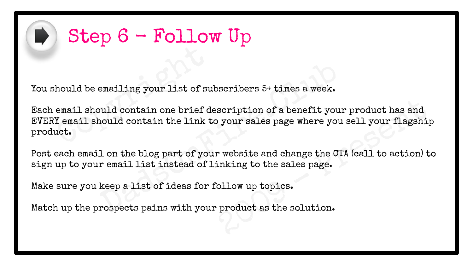

### $\blacktriangleright$  Step 6 - Follow Up

You should be emailing your list of subscribers 5+ times a week.

hould be emailing your list of supposed and the same of the Manusdan one brief density and the same of the same of the same of the same of the same of the same of the same of the same of the same of the same of the same of scription of a benefit your product has and<br>o your sales page where you sell your flagship<br>r website and change the CTA (call to action) to<br>inking to the sales page.<br>ollow up topics.<br>product as the solution. emailing your list of subscribers 5+ times a week.<br>buld contain one brief description of a benefit your<br>nould contain the link to your sales page where you :<br>1 on the blog part of your website and change the CTA<br>r email li Each email should contain one brief description of a benefit your product has and EVERY email should contain the link to your sales page where you sell your flagship product.

Post each email on the blog part of your website and change the CTA (call to action) to sign up to your email list instead of linking to the sales page.

Make sure you keep a list of ideas for follow up topics.

Match up the prospects pains with your product as the solution.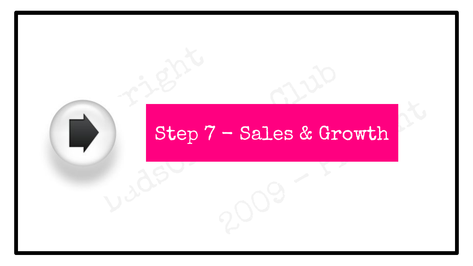# Copyright<br>Copyright Step 7 - Sales & Growth Branch Step 7 - Sales & Gro Step 7 - Sales & Growth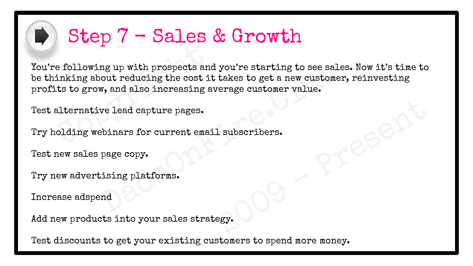

#### Step 7 - Sales & Growth

e following up with prospects and<br>inking about reducing the cost it<br>ts to grow, and also increasing a<br>alternative lead capture pages.<br>olding webinars for current emai ng up with prospects and you're starting to see sales<br>
bout reducing the cost it takes to get a new customer,<br>
w, and also increasing average customer value.<br>
We lead capture pages.<br>
Ebinars for current email subscribers.<br> You're following up with prospects and you're starting to see sales. Now it's time to be thinking about reducing the cost it takes to get a new customer, reinvesting profits to grow, and also increasing average customer value.

Test alternative lead capture pages.

Reporting Present Try holding webinars for current email subscribers.

Test new sales page copy.

Try new advertising platforms.

Increase adspend

Add new products into your sales strategy.

Test discounts to get your existing customers to spend more money.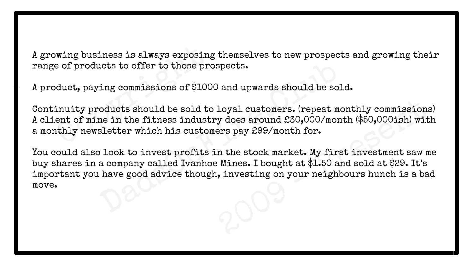A growing business is always exposing themselves to new prospects and growing their range of products to offer to those prospects.

A product, paying commissions of \$1000 and upwards should be sold.

wing business is always exposing<br>e of products to offer to those pro<br>duct, paying commissions of \$100<br>inuity products should be sold to<br>ent of mine in the fitness indust:<br>hthly newsletter which his custom Continuity products should be sold to loyal customers. (repeat monthly commissions) A client of mine in the fitness industry does around £30,000/month (\$50,000ish) with a monthly newsletter which his customers pay £99/month for.

loyal customers. (repeat monthly commissions)<br>y does around £30,000/month (\$50,000ish) with<br>ers pay £99/month for.<br>n the stock market. My first investment saw me<br>wines. I bought at \$1.50 and sold at \$29. It's<br>, investing o nots to offer to those prospects.<br>
ing commissions of \$1000 and upwards should be sold<br>
oducts should be sold to loyal customers. (repeat more<br>
in the fitness industry does around £30,000/mont<br>
sletter which his customers You could also look to invest profits in the stock market. My first investment saw me buy shares in a company called Ivanhoe Mines. I bought at \$1.50 and sold at \$29. It's important you have good advice though, investing on your neighbours hunch is a bad move.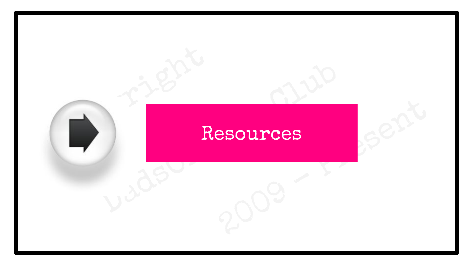# Copyright R 2009 - President Data Resources Resources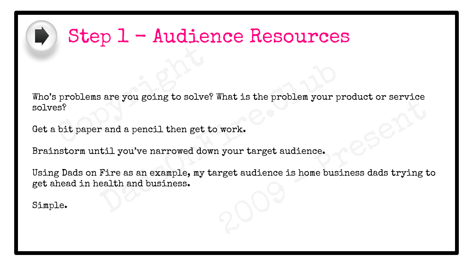

#### Step 1 - Audience Resources

problems are you going to solve?<br>
SPS?<br>
Copyright paper and a pencil then get to<br>
Copyright bit paper and a pencil then get to Example of Solve What is the problem your production of the problem your production of the problem your production of the proof.<br>The as an example, my target audience is home busined and business. Who's problems are you going to solve? What is the problem your product or service solves?

Get a bit paper and a pencil then get to work.

Brainstorm until you've narrowed down your target audience.

what is the problem your product or service<br>vork.<br>1 your target audience.<br>rget audience is home business dads trying to Using Dads on Fire as an example, my target audience is home business dads trying to get ahead in health and business.

Simple.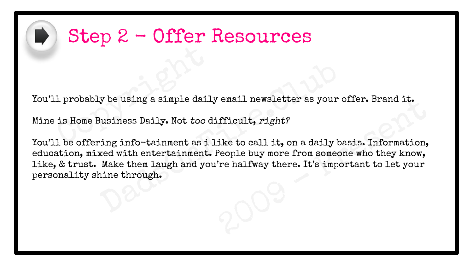

#### Step 2 - Offer Resources

1<br>
1 probably be using a simple dail<br>
is Home Business Daily. Not too d<br>
1 be offering info-tainment as i You'll probably be using a simple daily email newsletter as your offer. Brand it.

Mine is Home Business Daily. Not too difficult, right?

remail newsletter as your offer. Brand it.<br>
ifficult, *right?*<br>
ike to call it, on a daily basis. Information,<br>
People buy more from someone who they know,<br>
're halfway there. It's important to let your y be using a simple daily email newsletter as your of<br>Business Daily. Not too difficult, right?<br>
"ing info-tainment as i like to call it, on a daily baxed with entertainment. People buy more from someon<br>
Make them laugh an You'll be offering info-tainment as i like to call it, on a daily basis. Information, education, mixed with entertainment. People buy more from someone who they know, like, & trust. Make them laugh and you're halfway there. It's important to let your personality shine through.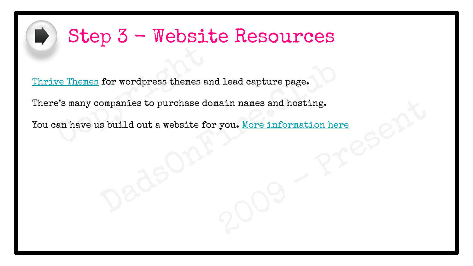

#### Step 3 - Website Resources

we Themes for wordpress themes an<br>e's many companies to purchase do:<br>an have us build out a website for [Thrive Themes](https://thrivethemes.com/) for wordpress themes and lead capture page.

There's many companies to purchase domain names and hosting.

ain names and hosting.<br>you. <u>More information here</u><br>2009 for wordpress themes and lead capture page.<br>
Ompanies to purchase domain names and hosting.<br>
s build out a website for you. <u>More information here</u> You can have us build out a website for you. More information here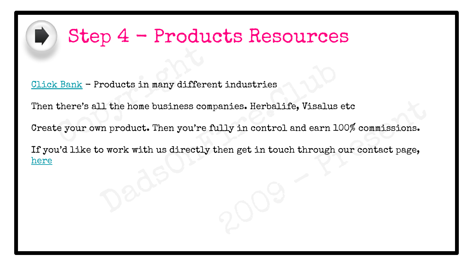

#### Step 4 - Products Resources

 $\underbrace{\texttt{Bank}}$  - Products in many different<br>here's all the home business complete your own product. Then you're f [Click Bank](http://www.clickbank.com/) - Products in many different industries

Then there's all the home business companies. Herbalife, Visalus etc

Create your own product. Then you're fully in control and earn 100% commissions.

Manies. Herbalife, Visalus etc<br>
11 y in control and earn 100% commissions.<br>
hen get in touch through our contact page, roducts in many different industries<br>
Ll the home business companies. Herbalife, Visalus et<br>
m product. Then you're fully in control and earn 100<br>
o work with us directly then get in touch through ou If you'd like to work with us directly then get in touch through our contact page, [here](https://dadsonfire.club/contact)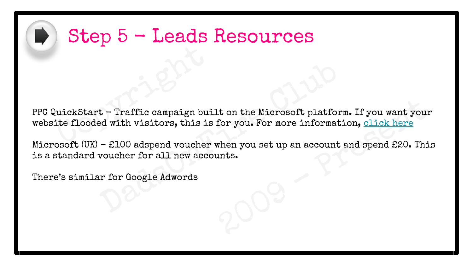

#### Step 5 - Leads Resources

uickStart - Traffic campaign buite flooded with visitors, this is t – Traffic campaign built on the Microsoft platform<br>d with visitors, this is for you. For more informational woucher for all new accounts. PPC QuickStart - Traffic campaign built on the Microsoft platform. If you want your website flooded with visitors, this is for you. For more information, click here

Let on the Microsoft platform. If you want your<br>for you. For more information, <u>click here</u><br>when you set up an account and spend £20. This<br>ints. Microsoft (UK) - £100 adspend voucher when you set up an account and spend £20. This is a standard voucher for all new accounts.

There's similar for Google Adwords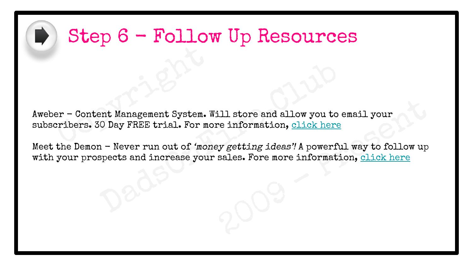

#### Step 6 - Follow Up Resources

er – Content Management System. W<br>Cribers. 30 Day FREE trial. For mo ent Management System. Will store and allow you to enterpreneur System. Will store and allow you to enterpreneur on the partial. For more information, click here in Persent and increase your sales. Fore more information Aweber - Content Management System. Will store and allow you to email your subscribers. 30 Day FREE trial. For more information, click here

ill stor[e](https://dadsonfire.club/meet-the-demon) and allow you to email your<br>re information, click here<br>ey getting ideas'! A powerful way to follow up<br>sales. Fore more information, <u>click here</u> Meet the Demon - Never run out of 'money getting ideas'! A powerful way to follow up with your prospects and increase your sales. Fore more information, click here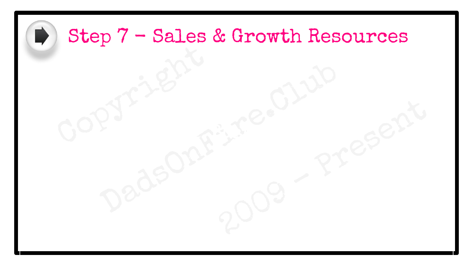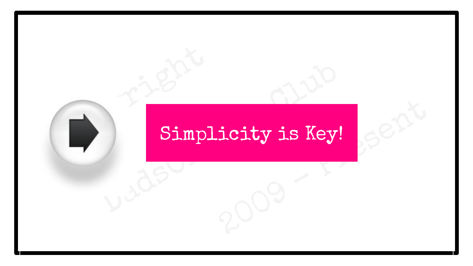# Copyright<br>Copyright<br>Copyright Simpl icity is Key! Bimplicity is Key! Simplicity is Key!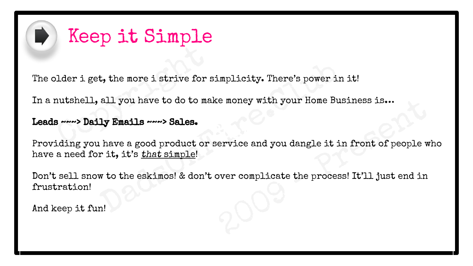

#### Keep it Simple

The older i get, the more i strive for simplicity. There's power in it!

Den i get, the more i strive for s<br>autshell, all you have to do to make<br>a ware **Daily Emails** ware Sales. In a nutshell, all you have to do to make money with your Home Business is...

#### Leads ~~~> Daily Emails ~~~> Sales.

e money with your Home Business is...<br>ervice and you dangle it in front of people wh<br>over complicate the process! It'll just end in t, the more i strive for simplicity. There's power in sall you have to do to make money with your Home Bus:<br> **ly Emails ~~~> Sales.**<br>
There a good product or service and you dangle it in rit, it's that simple!<br>
We to the e Home Business Richester Providing you have a good product or service and you dangle it in front of people who have a need for it, it's that simple!

Don't sell snow to the eskimos! & don't over complicate the process! It'll just end in frustration!

And keep it fun!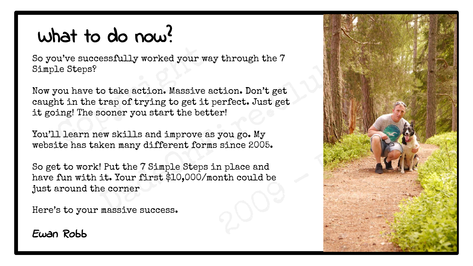### What to do now?

So you've successfully worked your way through the 7 Simple Steps?

Now the Successfully worked your way<br>the Steps?<br>Nou have to take action. Massive a<br>to in the trap of trying to get it ping! The sooner you start the bett<br>the best skills and improve as cotake action. Massive action. Don't get<br>
io take action. Massive action. Don't get<br>
trap of trying to get it perfect. Just get<br>
sooner you start the better!<br>
ew skills and improve as you go. My<br>
ken many different forms s Now you have to take action. Massive action. Don't get caught in the trap of trying to get it perfect. Just get it going! The sooner you start the better!

You'll learn new skills and improve as you go. My website has taken many different forms since 2005.

So get to work! Put the 7 Simple Steps in place and have fun with it. Your first \$10,000/month could be just around the corner

Here's to your massive success.

#### Ewan Robb